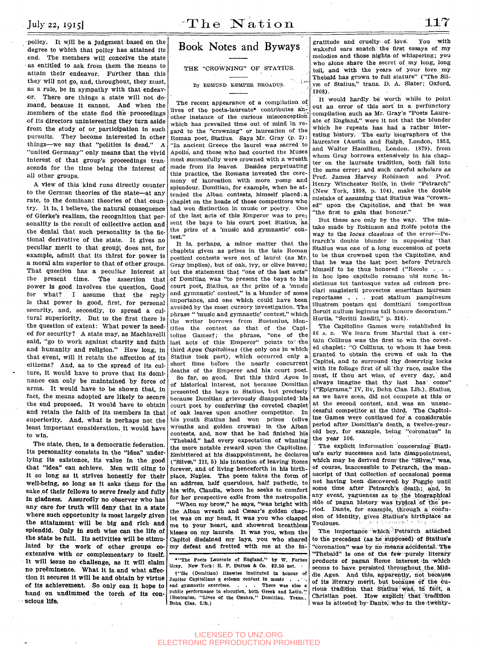policy. It will be **a** judgment.based on the degree to wbicb that policy has attained its end. The members will conceive the state as entitled to ask from them the means to attain their endeavor. Further than this they will not go, and, throughout, they must, as a rule, be in sympathy with that endeavor. There are things a state will not demand, because it cannot. And when the members of the state find the proceedings of its directors uninteresting they turn aside from the study of or participation in such pursuits. They become interested in other things—we say that "politics is dead." A "united Germany" only means that the vivid Interest of that group's proceedings transcends for the time being the interest of all other groups.

A view of this kind runs directly counter to the German theories of the state—at any rate, to the dominant theories of that country. It is, I believe, the natural consequence of Gierke's realism, the recognition that personality is the result of collective action and the denial that such personality is the fictional derivative of the state. It gives no peculiar merit to that group', does not, for example, admit that its thirst for power is a moral aim superior to that of other groups. That question has a peculiar Interest at the present time. "The assertion that power is good involves the question. Good for what? I assume that the reply is that power is good, first, for personal security, and, secondly, to spread a cultural superiority. But to the first there is the question of extent: What power is needed for security? A state may, as Machiavelll said, "go to work against charity and faith and humanity and religion." How long, in that event, will it retain the affection of its citizens? And, as to the spread of its culture, it would have to prove that Its dominance can only be maintained by force of arms. It would have to be shown that, in fact, the means adopted are likely to secure the end proposed. It would have to obtain and retain the faith of Its members in that and retain the raith of its members in that<br>superiority. And, what is perhaps not the superiority. And, what is perhaps not the<br>least important consideration, it would have least important consideration, it would have<br>to win.

The state, then, is **a** democratic federation. Its personality consists in the "idea" underlying its existence. Its value In the good that "idea" can achieve. **Men** will cling to It so **long** as it strives honestly for their well-being, **so long as** It asks **them** for **the**  sake **of their fellows to serve freely and fully In gladness. Assuredly no observer who has**  any **care for truth will deny that In a** state where **such opportunity is most largely given the attainment- will be big and rich and splendid. Only In such wise can the life of**  the state **be full. Its activities will be stimulated by the work of other groups coextensive with or complementary to itself.**  It will issue no challenge, as it will claim **no preeminence. What it** Is, **and what affection It secures It will be and obtain by virtue of Its achievement. So only can It hope to hand on undlmmed the torch of Its conscious life.** 

## Book Notes and Byways

THE "CROWNING" OP STATIUS.

By EDMDND KEMPER BROADDS.

The recent appearance of a compilation of lives of the poets-laureate\* contributes another instance of the curious misconception which has prevailed time out of mind in regard to the "crowning" or laureatlon of the Roman poet, Statius. Says Mr. Gray (p. 2): "In ancient Greece the laurel was sacred to Apollo, and those who had courted the Muses most successfully were crowned with a wreath made from its leaves. Besides perpetuating this practice, the Romans invested the ceremony of laureation with more pomp and splendour. Domitian, for example, when he attended the Alban contests, himself placed, a chaplet on the heads of those competitors who had won distinction in music or poetry. One of the last acts of this Emperor was to present the bays to his court poet Statius, as the prize of a 'music and gymnastic' contest."

It is, perhaps, a minor matter that the chaplets given as prizes in the late Roman poetical contests were not of laurel (as Mr. Gray implies), but of oak, ivy, or olive leaves; but the statement that "one of the last acts" of Domitian was "to present the bays to his court poet, Statius, as the prize of a 'music and gymnastic' contest," is a blunder of some importance, and one which could have been avoided by the most cursory investigation. The phrase " 'music and gymnastic' contest," which the writer borrows from Suetonius, identifies the contest as that of the Capitoline Gamest; the phrase, "one of the last acts of this Emperor" points to the third *Agon Capitolinus* (the only one in which Statius took part), which occurred only a short time before the nearly concurrent deaths of the Emperor and his court poet.

So far, so good. But this third *Agon* is of historical interest, not because Domitian presented the bays to Statius, but precisely because Domitian grievously disappointed his court poet by conferring the coveted chaplet of oak leaves upon another competitor. In liis youth Statius had won prizes (olive wreaths and golden crowns) in the Alban contests, and, now that he had finished his "Thebaid," had every expectation of winning the more notable reward upon the Capitoline. Embittered at his disappointment, he declares ("Siivse," III, 5) his intention of. leaving Rome forever, and of living henceforth in his birthplace, Naples. The poem takes the form of an address, half querulous, half pathetic, to his wife, Claudia, whom he seeks to comfort for her prospective exile from the metropolis.

"When my brow," he says, "was bright with the Alban wreath and Cæsar's golden chaplet was on my head. It was you who clasped me to your heart, and showered breathless kisses on my laurels. It was you, when the Capitol disdained my lays, you who shared my defeat and fretted with me at the Ih-

•"The Poets Laureate of England," by W.. Forbes Gray. New York: E. P. Dutton *&* Co. \$2.50 net. 1

t"He (Domitian) likewise Instituted In honour oif Jupiter Capitolinus a solemn contest in music . . . . and gymnastic exercises. . . . There was also a and gymnastic exercises.  $\blacksquare$ . public performance in elocution, both Greek and Latin." (Suetonius, "Lives of the Cæsars," Domitian. Trans., Bohn Clas. Lib.)

gratitude and cruelty of love. You with wakeful ears snatch the first essays of my melodies and those nights-of whispering; you who alone share the secret of my long, long toil, and with the years of your love my Thebaid has grown to full stature" ("The Silyae of Statius," trans. D. A. Slater; Oxford, 1908).

It would hardly be worth while to point out an error of this sort in a perfunctory compilation such as Mr. Gray's "Poets Laureate of England," were it not that the blunder which he repeats has had a rather interesting history. The early biographers of the laureates (Austin and Ralph, London, 1853, and Walter Hamilton, London, 1879), from whom Gray borrows extensively in his chapter on the laureate tradition, both fall into the same error; and such careful scholars as Prof. James Harvey Robinson and Prof. Henry Winchester Rolfe, in their "Petrarch" (New York, 1898, p. 104), make the double mistake of assuming that Statius was "crowned" upon the Capitoline, and that he was "the first to gain that honour."

But these are only by the way. The mistake made by Robinson and Rolfe points the way to the *locus classicus* of the error—Peway to the locus classicus of the errortrarch's double blunder in supposing 'that Statius was one of a long succession of poets to be thus crowned upon the Capitoline, and that he was the last poet before Petrarch himself to be thus honored ("Recolo . . . in hoc ipso capitolio romano ubi nunc insistimus tot tantosque vates ad culmen preclari magisterii provectos emeritam lauream reportasse . . . post statium pampineum illustrem poetam qui domitiani temporibus floruit nullum legimus tali honore decoratum." Hortis, "Scritti Inediti," p. 316).

The Capitoline Games were established in 86 A. D. We learn from Martial that a certain Collinus was the first to win the coveted chaplet: "O CoUinus, to whom it has been granted to obtain the crown of oak in the Capitol, and to surround thy deserving locks with its foliage first of all thy race, make the most, if thou art wise, of every day, and always imagine that thy last has' come" ("Epigrams," IV, liv, Bohn Clas. Lib.). Statius, as we have seen, did not compete at this or at the second contest, and, was an unsuccessful competitor at the third. The Capitoline Games were continued for a considerable period after Domitian's death, a twelve-yearold boy, for example, being "coronatus" in the year 106.

The explicit information concerning Statlus's early successes and late disappointment, which may be derived from the "Silvæ," was, of course, inaccessible to Petrarch, the manuscript of that collection of occasional poems not having been discovered; by Poggio until some time after Petrarch's death; and, in any event, vagueness as to the biographical side of pagan history was typical of the period. Dante, for example, through a confusion of identity, gives Statius's birthplace as Toulouse.

The importance *'* which ' Petrarch attached to the precedent (as he siippbsed) **of** Statlus's "coronation" was by no means accidental. **The**  "Thebaid" Is one of the few-purely literary products of pagan Rome Interest 'In :whlcb seems to have persisted throughout the Middle Ages. And this, apparently, not because of its literary merit, but because of the curious tradition that Statins •'wa^, iii facti **a**  Christian poet. How explicit that tradition was is attested by Dante, who in the twenty-